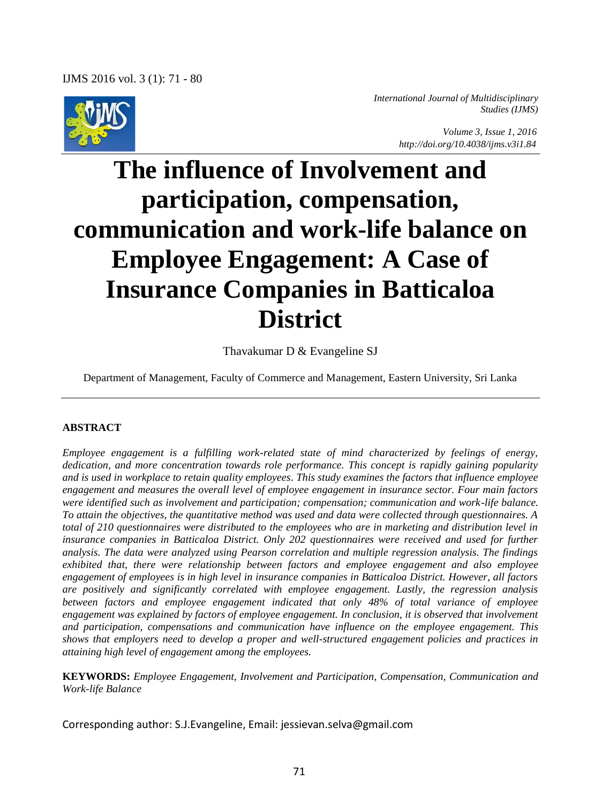IJMS 2016 vol. 3 (1): 71 - 80



*International Journal of Multidisciplinary Studies (IJMS)* 

> *Volume 3, Issue 1, 2016 http://doi.org/10.4038/ijms.v3i1.84*

# **The influence of Involvement and participation, compensation, communication and work-life balance on Employee Engagement: A Case of Insurance Companies in Batticaloa District**

Thavakumar D & Evangeline SJ

Department of Management, Faculty of Commerce and Management, Eastern University, Sri Lanka

#### **ABSTRACT**

*Employee engagement is a fulfilling work-related state of mind characterized by feelings of energy, dedication, and more concentration towards role performance. This concept is rapidly gaining popularity and is used in workplace to retain quality employees. This study examines the factors that influence employee engagement and measures the overall level of employee engagement in insurance sector. Four main factors were identified such as involvement and participation; compensation; communication and work-life balance. To attain the objectives, the quantitative method was used and data were collected through questionnaires. A total of 210 questionnaires were distributed to the employees who are in marketing and distribution level in insurance companies in Batticaloa District. Only 202 questionnaires were received and used for further analysis. The data were analyzed using Pearson correlation and multiple regression analysis. The findings exhibited that, there were relationship between factors and employee engagement and also employee engagement of employees is in high level in insurance companies in Batticaloa District. However, all factors are positively and significantly correlated with employee engagement. Lastly, the regression analysis between factors and employee engagement indicated that only 48% of total variance of employee engagement was explained by factors of employee engagement. In conclusion, it is observed that involvement and participation, compensations and communication have influence on the employee engagement. This shows that employers need to develop a proper and well-structured engagement policies and practices in attaining high level of engagement among the employees.* 

**KEYWORDS:** *Employee Engagement, Involvement and Participation, Compensation, Communication and Work-life Balance* 

Corresponding author: S.J.Evangeline, Email: jessievan.selva@gmail.com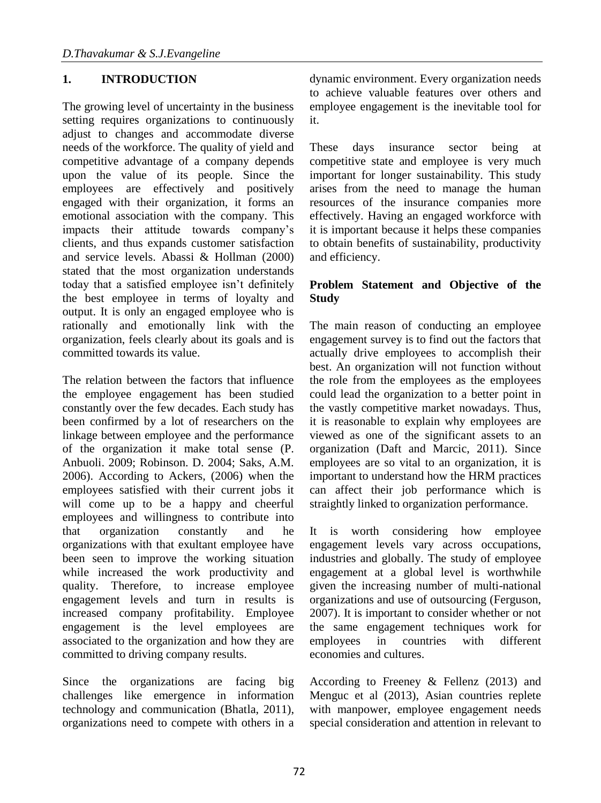### **1. INTRODUCTION**

The growing level of uncertainty in the business setting requires organizations to continuously adjust to changes and accommodate diverse needs of the workforce. The quality of yield and competitive advantage of a company depends upon the value of its people. Since the employees are effectively and positively engaged with their organization, it forms an emotional association with the company. This impacts their attitude towards company's clients, and thus expands customer satisfaction and service levels. Abassi & Hollman (2000) stated that the most organization understands today that a satisfied employee isn't definitely the best employee in terms of loyalty and output. It is only an engaged employee who is rationally and emotionally link with the organization, feels clearly about its goals and is committed towards its value.

The relation between the factors that influence the employee engagement has been studied constantly over the few decades. Each study has been confirmed by a lot of researchers on the linkage between employee and the performance of the organization it make total sense (P. Anbuoli. 2009; Robinson. D. 2004; Saks, A.M. 2006). According to Ackers, (2006) when the employees satisfied with their current jobs it will come up to be a happy and cheerful employees and willingness to contribute into that organization constantly and he organizations with that exultant employee have been seen to improve the working situation while increased the work productivity and quality. Therefore, to increase employee engagement levels and turn in results is increased company profitability. Employee engagement is the level employees are associated to the organization and how they are committed to driving company results.

Since the organizations are facing big challenges like emergence in information technology and communication (Bhatla, 2011), organizations need to compete with others in a dynamic environment. Every organization needs to achieve valuable features over others and employee engagement is the inevitable tool for it.

These days insurance sector being at competitive state and employee is very much important for longer sustainability. This study arises from the need to manage the human resources of the insurance companies more effectively. Having an engaged workforce with it is important because it helps these companies to obtain benefits of sustainability, productivity and efficiency.

#### **Problem Statement and Objective of the Study**

The main reason of conducting an employee engagement survey is to find out the factors that actually drive employees to accomplish their best. An organization will not function without the role from the employees as the employees could lead the organization to a better point in the vastly competitive market nowadays. Thus, it is reasonable to explain why employees are viewed as one of the significant assets to an organization (Daft and Marcic, 2011). Since employees are so vital to an organization, it is important to understand how the HRM practices can affect their job performance which is straightly linked to organization performance.

It is worth considering how employee engagement levels vary across occupations, industries and globally. The study of employee engagement at a global level is worthwhile given the increasing number of multi-national organizations and use of outsourcing (Ferguson, 2007). It is important to consider whether or not the same engagement techniques work for employees in countries with different economies and cultures.

According to Freeney & Fellenz (2013) and Menguc et al (2013), Asian countries replete with manpower, employee engagement needs special consideration and attention in relevant to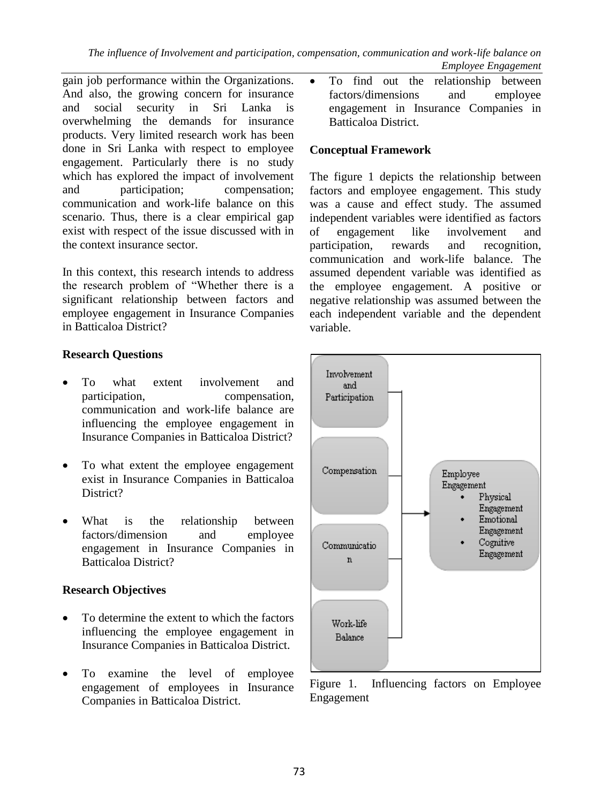gain job performance within the Organizations. And also, the growing concern for insurance and social security in Sri Lanka is overwhelming the demands for insurance products. Very limited research work has been done in Sri Lanka with respect to employee engagement. Particularly there is no study which has explored the impact of involvement and participation; compensation; communication and work-life balance on this scenario. Thus, there is a clear empirical gap exist with respect of the issue discussed with in the context insurance sector.

In this context, this research intends to address the research problem of "Whether there is a significant relationship between factors and employee engagement in Insurance Companies in Batticaloa District?

## **Research Questions**

- To what extent involvement and participation, compensation, communication and work-life balance are influencing the employee engagement in Insurance Companies in Batticaloa District?
- To what extent the employee engagement exist in Insurance Companies in Batticaloa District?
- What is the relationship between factors/dimension and employee engagement in Insurance Companies in Batticaloa District?

## **Research Objectives**

- To determine the extent to which the factors influencing the employee engagement in Insurance Companies in Batticaloa District.
- To examine the level of employee engagement of employees in Insurance Companies in Batticaloa District.

 To find out the relationship between factors/dimensions and employee engagement in Insurance Companies in Batticaloa District.

## **Conceptual Framework**

The figure 1 depicts the relationship between factors and employee engagement. This study was a cause and effect study. The assumed independent variables were identified as factors of engagement like involvement and participation, rewards and recognition, communication and work-life balance. The assumed dependent variable was identified as the employee engagement. A positive or negative relationship was assumed between the each independent variable and the dependent variable.



Figure 1. Influencing factors on Employee Engagement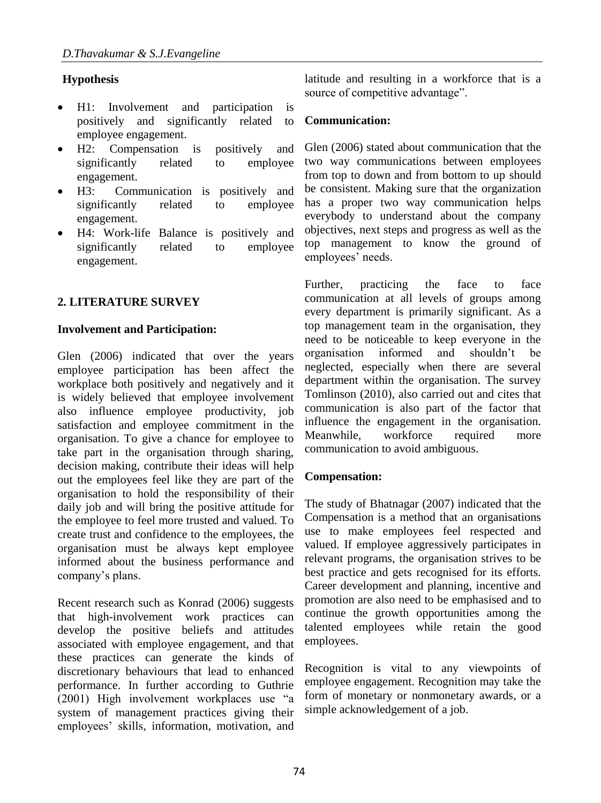## **Hypothesis**

- H1: Involvement and participation is positively and significantly related to employee engagement.
- H2: Compensation is positively and significantly related to employee engagement.
- H3: Communication is positively and significantly related to employee engagement.
- H4: Work-life Balance is positively and significantly related to employee engagement.

## **2. LITERATURE SURVEY**

#### **Involvement and Participation:**

Glen (2006) indicated that over the years employee participation has been affect the workplace both positively and negatively and it is widely believed that employee involvement also influence employee productivity, job satisfaction and employee commitment in the organisation. To give a chance for employee to take part in the organisation through sharing, decision making, contribute their ideas will help out the employees feel like they are part of the organisation to hold the responsibility of their daily job and will bring the positive attitude for the employee to feel more trusted and valued. To create trust and confidence to the employees, the organisation must be always kept employee informed about the business performance and company's plans.

Recent research such as Konrad (2006) suggests that high-involvement work practices can develop the positive beliefs and attitudes associated with employee engagement, and that these practices can generate the kinds of discretionary behaviours that lead to enhanced performance. In further according to Guthrie (2001) High involvement workplaces use "a system of management practices giving their employees' skills, information, motivation, and

latitude and resulting in a workforce that is a source of competitive advantage".

#### **Communication:**

Glen (2006) stated about communication that the two way communications between employees from top to down and from bottom to up should be consistent. Making sure that the organization has a proper two way communication helps everybody to understand about the company objectives, next steps and progress as well as the top management to know the ground of employees' needs.

Further, practicing the face to face communication at all levels of groups among every department is primarily significant. As a top management team in the organisation, they need to be noticeable to keep everyone in the organisation informed and shouldn't be neglected, especially when there are several department within the organisation. The survey Tomlinson (2010), also carried out and cites that communication is also part of the factor that influence the engagement in the organisation. Meanwhile, workforce required more communication to avoid ambiguous.

#### **Compensation:**

The study of Bhatnagar (2007) indicated that the Compensation is a method that an organisations use to make employees feel respected and valued. If employee aggressively participates in relevant programs, the organisation strives to be best practice and gets recognised for its efforts. Career development and planning, incentive and promotion are also need to be emphasised and to continue the growth opportunities among the talented employees while retain the good employees.

Recognition is vital to any viewpoints of employee engagement. Recognition may take the form of monetary or nonmonetary awards, or a simple acknowledgement of a job.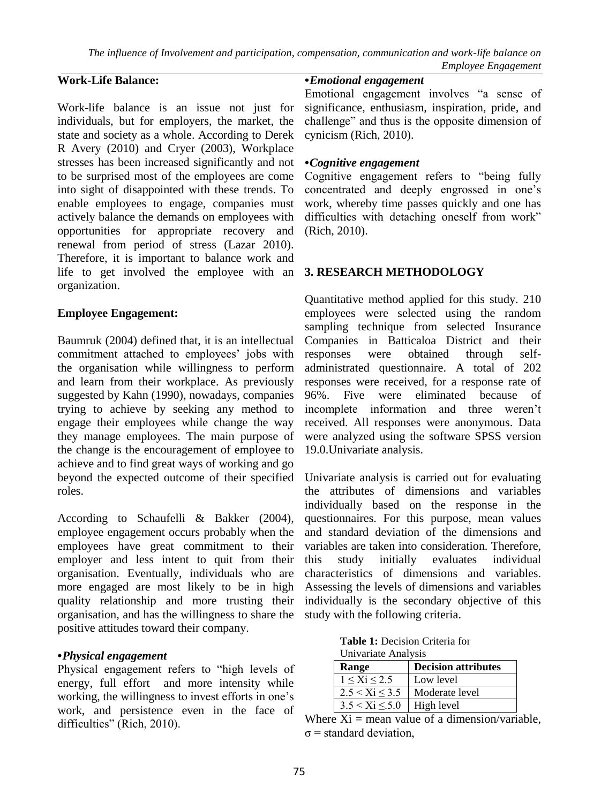## **Work-Life Balance:**

Work-life balance is an issue not just for individuals, but for employers, the market, the state and society as a whole. According to Derek R Avery (2010) and Cryer (2003), Workplace stresses has been increased significantly and not to be surprised most of the employees are come into sight of disappointed with these trends. To enable employees to engage, companies must actively balance the demands on employees with opportunities for appropriate recovery and renewal from period of stress (Lazar 2010). Therefore, it is important to balance work and life to get involved the employee with an organization.

#### **Employee Engagement:**

Baumruk (2004) defined that, it is an intellectual commitment attached to employees' jobs with the organisation while willingness to perform and learn from their workplace. As previously suggested by Kahn (1990), nowadays, companies trying to achieve by seeking any method to engage their employees while change the way they manage employees. The main purpose of the change is the encouragement of employee to achieve and to find great ways of working and go beyond the expected outcome of their specified roles.

According to Schaufelli & Bakker (2004), employee engagement occurs probably when the employees have great commitment to their employer and less intent to quit from their organisation. Eventually, individuals who are more engaged are most likely to be in high quality relationship and more trusting their organisation, and has the willingness to share the positive attitudes toward their company.

#### *•Physical engagement*

Physical engagement refers to "high levels of energy, full effort and more intensity while working, the willingness to invest efforts in one's work, and persistence even in the face of difficulties" (Rich, 2010).

#### *•Emotional engagement*

Emotional engagement involves "a sense of significance, enthusiasm, inspiration, pride, and challenge" and thus is the opposite dimension of cynicism (Rich, 2010).

#### *•Cognitive engagement*

Cognitive engagement refers to "being fully concentrated and deeply engrossed in one's work, whereby time passes quickly and one has difficulties with detaching oneself from work" (Rich, 2010).

## **3. RESEARCH METHODOLOGY**

Quantitative method applied for this study. 210 employees were selected using the random sampling technique from selected Insurance Companies in Batticaloa District and their responses were obtained through selfadministrated questionnaire. A total of 202 responses were received, for a response rate of 96%. Five were eliminated because of incomplete information and three weren't received. All responses were anonymous. Data were analyzed using the software SPSS version 19.0.Univariate analysis.

Univariate analysis is carried out for evaluating the attributes of dimensions and variables individually based on the response in the questionnaires. For this purpose, mean values and standard deviation of the dimensions and variables are taken into consideration. Therefore, this study initially evaluates individual characteristics of dimensions and variables. Assessing the levels of dimensions and variables individually is the secondary objective of this study with the following criteria.

| <b>Table 1:</b> Decision Criteria for |
|---------------------------------------|
| Univariate Analysis                   |

| <b>Range</b>               | <b>Decision attributes</b> |
|----------------------------|----------------------------|
| 1 < Xi < 2.5               | Low level                  |
| 2.5 < X <sub>i</sub> < 3.5 | Moderate level             |
| 3.5 < X <sub>i</sub> < 5.0 | High level                 |

Where  $Xi$  = mean value of a dimension/variable,  $\sigma$  = standard deviation,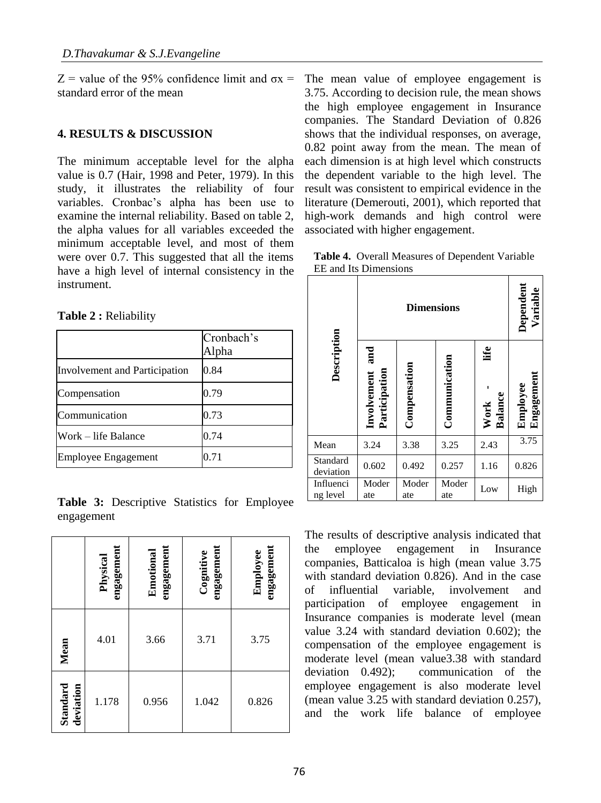$Z =$  value of the 95% confidence limit and  $\sigma x =$ standard error of the mean

#### **4. RESULTS & DISCUSSION**

The minimum acceptable level for the alpha value is 0.7 (Hair, 1998 and Peter, 1979). In this study, it illustrates the reliability of four variables. Cronbac's alpha has been use to examine the internal reliability. Based on table 2, the alpha values for all variables exceeded the minimum acceptable level, and most of them were over 0.7. This suggested that all the items have a high level of internal consistency in the instrument.

**Table 2 :** Reliability

|                               | Cronbach's<br>Alpha |
|-------------------------------|---------------------|
| Involvement and Participation | 0.84                |
| Compensation                  | 0.79                |
| Communication                 | 0.73                |
| Work – life Balance           | 0.74                |
| Employee Engagement           | 0.71                |

**Table 3:** Descriptive Statistics for Employee engagement

|                       | engagement<br>Physical | engagement<br>Emotional | engagement<br>Cognitive | engagement<br>Employee |
|-----------------------|------------------------|-------------------------|-------------------------|------------------------|
| Mean                  | 4.01                   | 3.66                    | 3.71                    | 3.75                   |
| Standard<br>deviation | 1.178                  | 0.956                   | 1.042                   | 0.826                  |

The mean value of employee engagement is 3.75. According to decision rule, the mean shows the high employee engagement in Insurance companies. The Standard Deviation of 0.826 shows that the individual responses, on average, 0.82 point away from the mean. The mean of each dimension is at high level which constructs the dependent variable to the high level. The result was consistent to empirical evidence in the literature (Demerouti, 2001), which reported that high-work demands and high control were associated with higher engagement.

|                       | <b>Dimensions</b>                   |              |               | Dependent<br>Variable   |                        |
|-----------------------|-------------------------------------|--------------|---------------|-------------------------|------------------------|
| Description           | and<br>Involvement<br>Participation | Compensation | Communication | life<br>Balance<br>Work | Engagement<br>Employee |
| Mean                  | 3.24                                | 3.38         | 3.25          | 2.43                    | 3.75                   |
| Standard<br>deviation | 0.602                               | 0.492        | 0.257         | 1.16                    | 0.826                  |
| Influenci<br>ng level | Moder<br>ate                        | Moder<br>ate | Moder<br>ate  | Low                     | High                   |

**Table 4.** Overall Measures of Dependent Variable EE and Its Dimensions

The results of descriptive analysis indicated that the employee engagement in Insurance companies, Batticaloa is high (mean value 3.75 with standard deviation 0.826). And in the case of influential variable, involvement and participation of employee engagement in Insurance companies is moderate level (mean value 3.24 with standard deviation 0.602); the compensation of the employee engagement is moderate level (mean value3.38 with standard deviation 0.492); communication of the employee engagement is also moderate level (mean value 3.25 with standard deviation 0.257), and the work life balance of employee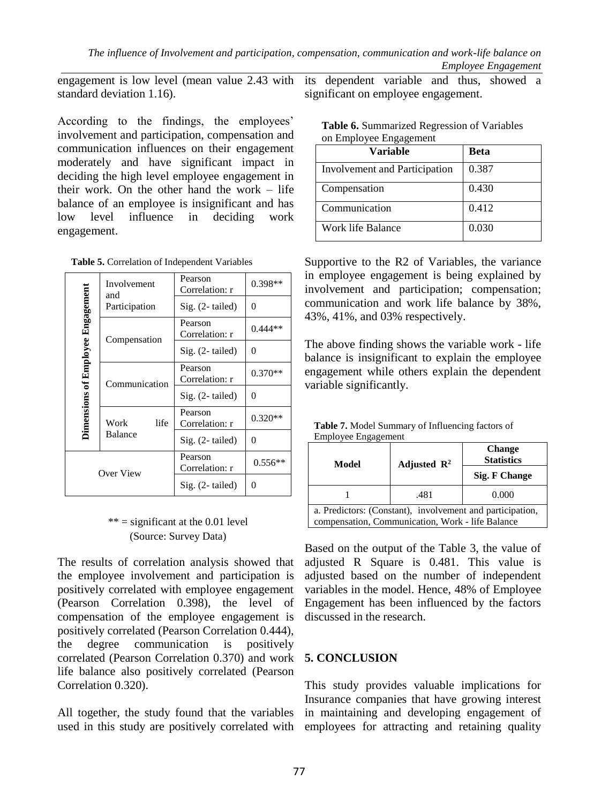engagement is low level (mean value 2.43 with standard deviation 1.16).

According to the findings, the employees' involvement and participation, compensation and communication influences on their engagement moderately and have significant impact in deciding the high level employee engagement in their work. On the other hand the work – life balance of an employee is insignificant and has low level influence in deciding work engagement.

| Involvement<br>and                                 |                   | Pearson<br>Correlation: r | $0.398**$ |
|----------------------------------------------------|-------------------|---------------------------|-----------|
|                                                    | Participation     | Sig. (2-tailed)           | $\Omega$  |
|                                                    | Compensation      | Pearson<br>Correlation: r | $0.444**$ |
|                                                    |                   | Sig. (2- tailed)          | $\Omega$  |
| Dimensions of Employee Engagement<br>Communication |                   | Pearson<br>Correlation: r | $0.370**$ |
|                                                    | $Sig. (2-tailed)$ | $\Omega$                  |           |
|                                                    | life<br>Work      | Pearson<br>Correlation: r | $0.320**$ |
| Balance                                            | Sig. (2-tailed)   | $\Omega$                  |           |
| Over View                                          |                   | Pearson<br>Correlation: r | $0.556**$ |
|                                                    |                   | $Sig. (2-tailed)$         | 0         |

#### $**$  = significant at the 0.01 level (Source: Survey Data)

The results of correlation analysis showed that the employee involvement and participation is positively correlated with employee engagement (Pearson Correlation 0.398), the level of compensation of the employee engagement is positively correlated (Pearson Correlation 0.444), the degree communication is positively correlated (Pearson Correlation 0.370) and work life balance also positively correlated (Pearson Correlation 0.320).

All together, the study found that the variables used in this study are positively correlated with

its dependent variable and thus, showed a significant on employee engagement.

| <b>Variable</b>               | <b>Beta</b> |
|-------------------------------|-------------|
| Involvement and Participation | 0.387       |
| Compensation                  | 0.430       |
| Communication                 | 0.412       |
| Work life Balance             | 0.030       |

**Table 6.** Summarized Regression of Variables on Employee Engagement

Supportive to the R2 of Variables, the variance in employee engagement is being explained by involvement and participation; compensation; communication and work life balance by 38%, 43%, 41%, and 03% respectively.

The above finding shows the variable work - life balance is insignificant to explain the employee engagement while others explain the dependent variable significantly.

| <b>Table 7.</b> Model Summary of Influencing factors of |  |
|---------------------------------------------------------|--|
| Employee Engagement                                     |  |

| Model                                                                                                         | Adjusted $\mathbb{R}^2$ | <b>Change</b><br><b>Statistics</b> |  |
|---------------------------------------------------------------------------------------------------------------|-------------------------|------------------------------------|--|
|                                                                                                               |                         | <b>Sig. F Change</b>               |  |
|                                                                                                               | .481                    | 0.000                              |  |
| a. Predictors: (Constant), involvement and participation,<br>compensation, Communication, Work - life Balance |                         |                                    |  |

Based on the output of the Table 3, the value of adjusted R Square is 0.481. This value is adjusted based on the number of independent variables in the model. Hence, 48% of Employee Engagement has been influenced by the factors discussed in the research.

#### **5. CONCLUSION**

This study provides valuable implications for Insurance companies that have growing interest in maintaining and developing engagement of employees for attracting and retaining quality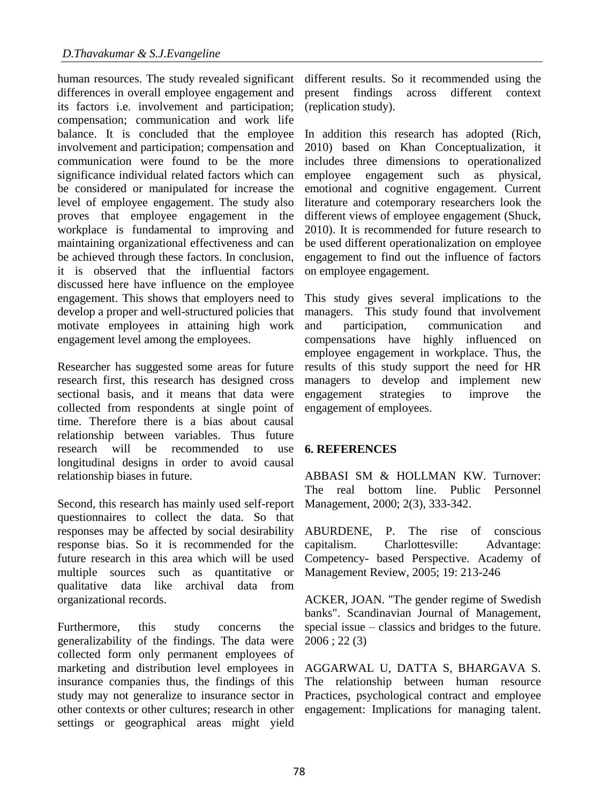human resources. The study revealed significant differences in overall employee engagement and its factors i.e. involvement and participation; compensation; communication and work life balance. It is concluded that the employee involvement and participation; compensation and communication were found to be the more significance individual related factors which can be considered or manipulated for increase the level of employee engagement. The study also proves that employee engagement in the workplace is fundamental to improving and maintaining organizational effectiveness and can be achieved through these factors. In conclusion, it is observed that the influential factors discussed here have influence on the employee engagement. This shows that employers need to develop a proper and well-structured policies that motivate employees in attaining high work engagement level among the employees.

Researcher has suggested some areas for future research first, this research has designed cross sectional basis, and it means that data were collected from respondents at single point of time. Therefore there is a bias about causal relationship between variables. Thus future research will be recommended to use longitudinal designs in order to avoid causal relationship biases in future.

Second, this research has mainly used self-report questionnaires to collect the data. So that responses may be affected by social desirability response bias. So it is recommended for the future research in this area which will be used multiple sources such as quantitative or qualitative data like archival data from organizational records.

Furthermore, this study concerns the generalizability of the findings. The data were collected form only permanent employees of marketing and distribution level employees in insurance companies thus, the findings of this study may not generalize to insurance sector in other contexts or other cultures; research in other settings or geographical areas might yield

different results. So it recommended using the present findings across different context (replication study).

In addition this research has adopted (Rich, 2010) based on Khan Conceptualization, it includes three dimensions to operationalized employee engagement such as physical, emotional and cognitive engagement. Current literature and cotemporary researchers look the different views of employee engagement (Shuck, 2010). It is recommended for future research to be used different operationalization on employee engagement to find out the influence of factors on employee engagement.

This study gives several implications to the managers. This study found that involvement and participation, communication and compensations have highly influenced on employee engagement in workplace. Thus, the results of this study support the need for HR managers to develop and implement new engagement strategies to improve the engagement of employees.

#### **6. REFERENCES**

ABBASI SM & HOLLMAN KW. Turnover: The real bottom line. Public Personnel Management, 2000; 2(3), 333-342.

ABURDENE, P. The rise of conscious capitalism. Charlottesville: Advantage: Competency- based Perspective. Academy of Management Review, 2005; 19: 213-246

ACKER, JOAN. "The gender regime of Swedish banks". Scandinavian Journal of Management, special issue – classics and bridges to the future. 2006 ; 22 (3)

AGGARWAL U, DATTA S, BHARGAVA S. The relationship between human resource Practices, psychological contract and employee engagement: Implications for managing talent.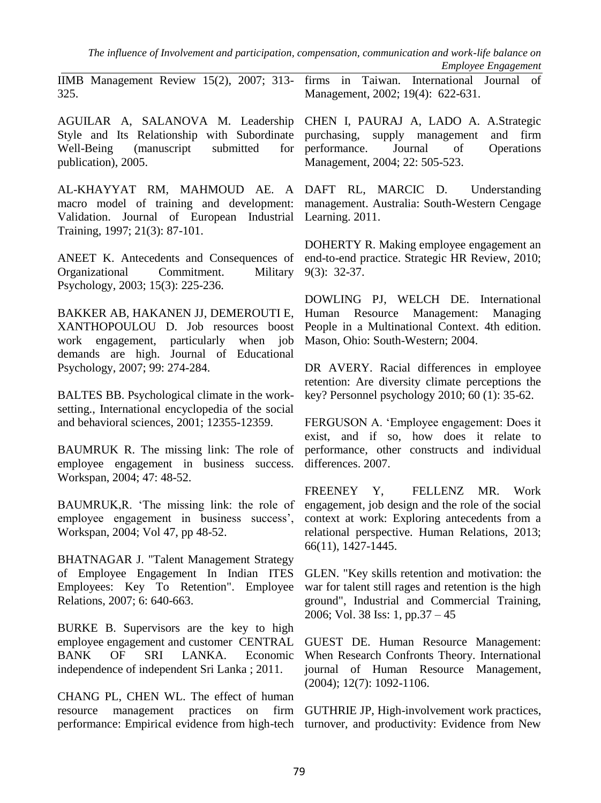*The influence of Involvement and participation, compensation, communication and work-life balance on Employee Engagement*

IIMB Management Review 15(2), 2007; 313- 325.

AGUILAR A, SALANOVA M. Leadership Style and Its Relationship with Subordinate Well-Being (manuscript submitted for publication), 2005.

AL-KHAYYAT RM, MAHMOUD AE. A DAFT RL, MARCIC D. Understanding macro model of training and development: management. Australia: South-Western Cengage Validation. Journal of European Industrial Learning. 2011. Training, 1997; 21(3): 87-101.

ANEET K. Antecedents and Consequences of Organizational Commitment. Military Psychology, 2003; 15(3): 225-236.

BAKKER AB, HAKANEN JJ, DEMEROUTI E, XANTHOPOULOU D. Job resources boost work engagement, particularly when job demands are high. Journal of Educational Psychology, 2007; 99: 274-284.

BALTES BB. Psychological climate in the worksetting., International encyclopedia of the social and behavioral sciences, 2001; 12355-12359.

BAUMRUK R. The missing link: The role of employee engagement in business success. Workspan, 2004; 47: 48-52.

BAUMRUK,R. 'The missing link: the role of employee engagement in business success', Workspan, 2004; Vol 47, pp 48-52.

BHATNAGAR J. "Talent Management Strategy of Employee Engagement In Indian ITES Employees: Key To Retention". Employee Relations, 2007; 6: 640-663.

BURKE B. Supervisors are the key to high employee engagement and customer CENTRAL BANK OF SRI LANKA. Economic independence of independent Sri Lanka ; 2011.

CHANG PL, CHEN WL. The effect of human resource management practices on firm performance: Empirical evidence from high-tech turnover, and productivity: Evidence from New

firms in Taiwan. International Journal of Management, 2002; 19(4): 622-631.

CHEN I, PAURAJ A, LADO A. A.Strategic purchasing, supply management and firm performance. Journal of Operations Management, 2004; 22: 505-523.

DOHERTY R. Making employee engagement an end-to-end practice. Strategic HR Review, 2010; 9(3): 32-37.

DOWLING PJ, WELCH DE. International Human Resource Management: Managing People in a Multinational Context. 4th edition. Mason, Ohio: South-Western; 2004.

DR AVERY. Racial differences in employee retention: Are diversity climate perceptions the key? Personnel psychology 2010; 60 (1): 35-62.

FERGUSON A. 'Employee engagement: Does it exist, and if so, how does it relate to performance, other constructs and individual differences. 2007.

FREENEY Y, FELLENZ MR. Work engagement, job design and the role of the social context at work: Exploring antecedents from a relational perspective. Human Relations, 2013; 66(11), 1427-1445.

GLEN. "Key skills retention and motivation: the war for talent still rages and retention is the high ground", Industrial and Commercial Training, 2006; Vol. 38 Iss: 1, pp.37 – 45

GUEST DE. Human Resource Management: When Research Confronts Theory. International journal of Human Resource Management, (2004); 12(7): 1092-1106.

GUTHRIE JP, High-involvement work practices,